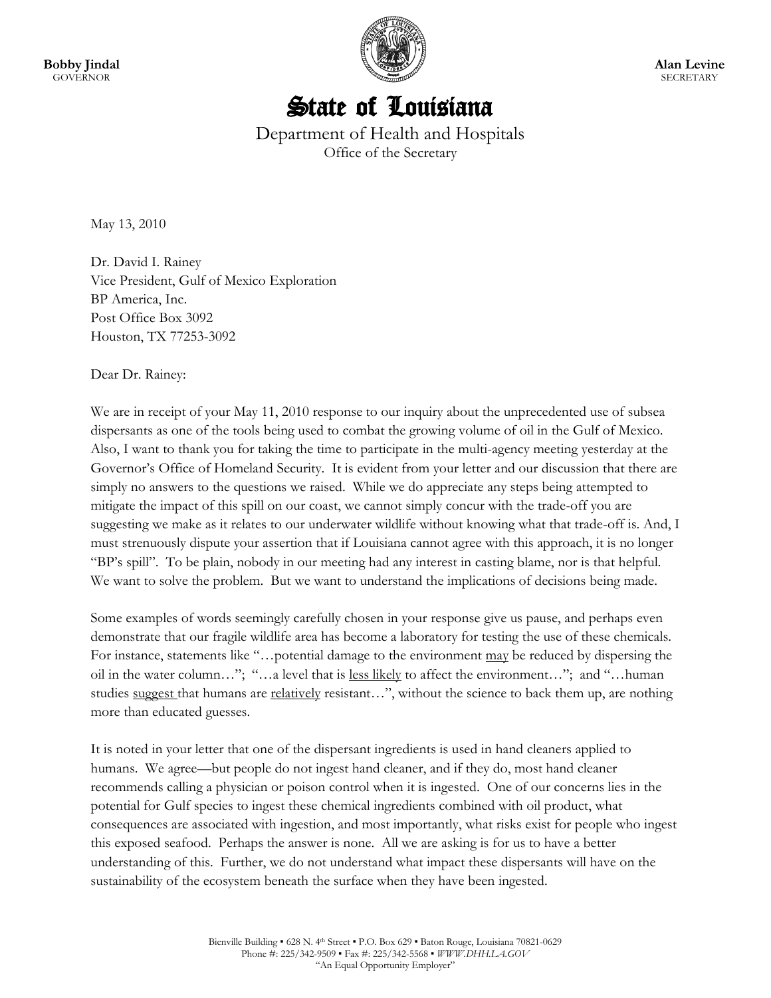**Bobby Jindal GOVERNOR** 



**Alan Levine SECRETARY** 

## State of Louisiana

Department of Health and Hospitals Office of the Secretary

May 13, 2010

Dr. David I. Rainey Vice President, Gulf of Mexico Exploration BP America, Inc. Post Office Box 3092 Houston, TX 77253-3092

Dear Dr. Rainey:

We are in receipt of your May 11, 2010 response to our inquiry about the unprecedented use of subsea dispersants as one of the tools being used to combat the growing volume of oil in the Gulf of Mexico. Also, I want to thank you for taking the time to participate in the multi-agency meeting yesterday at the Governor's Office of Homeland Security. It is evident from your letter and our discussion that there are simply no answers to the questions we raised. While we do appreciate any steps being attempted to mitigate the impact of this spill on our coast, we cannot simply concur with the trade-off you are suggesting we make as it relates to our underwater wildlife without knowing what that trade-off is. And, I must strenuously dispute your assertion that if Louisiana cannot agree with this approach, it is no longer ―BP's spill‖. To be plain, nobody in our meeting had any interest in casting blame, nor is that helpful. We want to solve the problem. But we want to understand the implications of decisions being made.

Some examples of words seemingly carefully chosen in your response give us pause, and perhaps even demonstrate that our fragile wildlife area has become a laboratory for testing the use of these chemicals. For instance, statements like "... potential damage to the environment may be reduced by dispersing the oil in the water column..."; "...a level that is <u>less likely</u> to affect the environment..."; and "...human studies suggest that humans are relatively resistant...", without the science to back them up, are nothing more than educated guesses.

It is noted in your letter that one of the dispersant ingredients is used in hand cleaners applied to humans. We agree—but people do not ingest hand cleaner, and if they do, most hand cleaner recommends calling a physician or poison control when it is ingested. One of our concerns lies in the potential for Gulf species to ingest these chemical ingredients combined with oil product, what consequences are associated with ingestion, and most importantly, what risks exist for people who ingest this exposed seafood. Perhaps the answer is none. All we are asking is for us to have a better understanding of this. Further, we do not understand what impact these dispersants will have on the sustainability of the ecosystem beneath the surface when they have been ingested.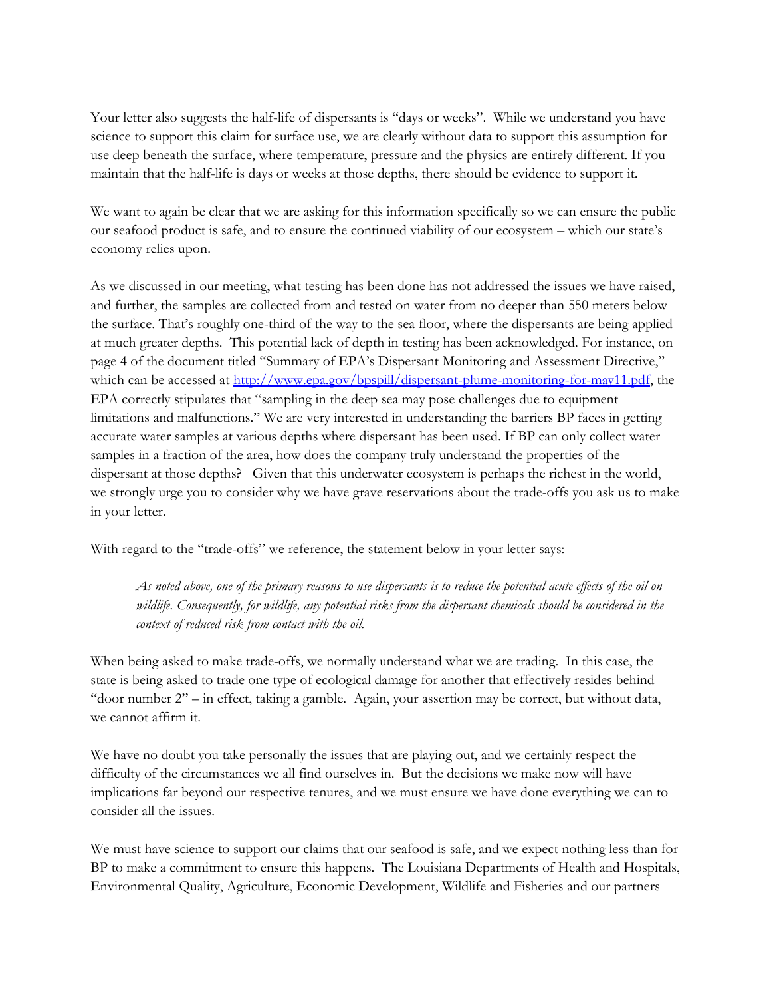Your letter also suggests the half-life of dispersants is "days or weeks". While we understand you have science to support this claim for surface use, we are clearly without data to support this assumption for use deep beneath the surface, where temperature, pressure and the physics are entirely different. If you maintain that the half-life is days or weeks at those depths, there should be evidence to support it.

We want to again be clear that we are asking for this information specifically so we can ensure the public our seafood product is safe, and to ensure the continued viability of our ecosystem – which our state's economy relies upon.

As we discussed in our meeting, what testing has been done has not addressed the issues we have raised, and further, the samples are collected from and tested on water from no deeper than 550 meters below the surface. That's roughly one-third of the way to the sea floor, where the dispersants are being applied at much greater depths. This potential lack of depth in testing has been acknowledged. For instance, on page 4 of the document titled "Summary of EPA's Dispersant Monitoring and Assessment Directive," which can be accessed at [http://www.epa.gov/bpspill/dispersant-plume-monitoring-for-may11.pdf,](http://www.epa.gov/bpspill/dispersant-plume-monitoring-for-may11.pdf) the EPA correctly stipulates that "sampling in the deep sea may pose challenges due to equipment limitations and malfunctions." We are very interested in understanding the barriers BP faces in getting accurate water samples at various depths where dispersant has been used. If BP can only collect water samples in a fraction of the area, how does the company truly understand the properties of the dispersant at those depths? Given that this underwater ecosystem is perhaps the richest in the world, we strongly urge you to consider why we have grave reservations about the trade-offs you ask us to make in your letter.

With regard to the "trade-offs" we reference, the statement below in your letter says:

*As noted above, one of the primary reasons to use dispersants is to reduce the potential acute effects of the oil on wildlife. Consequently, for wildlife, any potential risks from the dispersant chemicals should be considered in the context of reduced risk from contact with the oil.*

When being asked to make trade-offs, we normally understand what we are trading. In this case, the state is being asked to trade one type of ecological damage for another that effectively resides behind "door number  $2"$  – in effect, taking a gamble. Again, your assertion may be correct, but without data, we cannot affirm it.

We have no doubt you take personally the issues that are playing out, and we certainly respect the difficulty of the circumstances we all find ourselves in. But the decisions we make now will have implications far beyond our respective tenures, and we must ensure we have done everything we can to consider all the issues.

We must have science to support our claims that our seafood is safe, and we expect nothing less than for BP to make a commitment to ensure this happens. The Louisiana Departments of Health and Hospitals, Environmental Quality, Agriculture, Economic Development, Wildlife and Fisheries and our partners